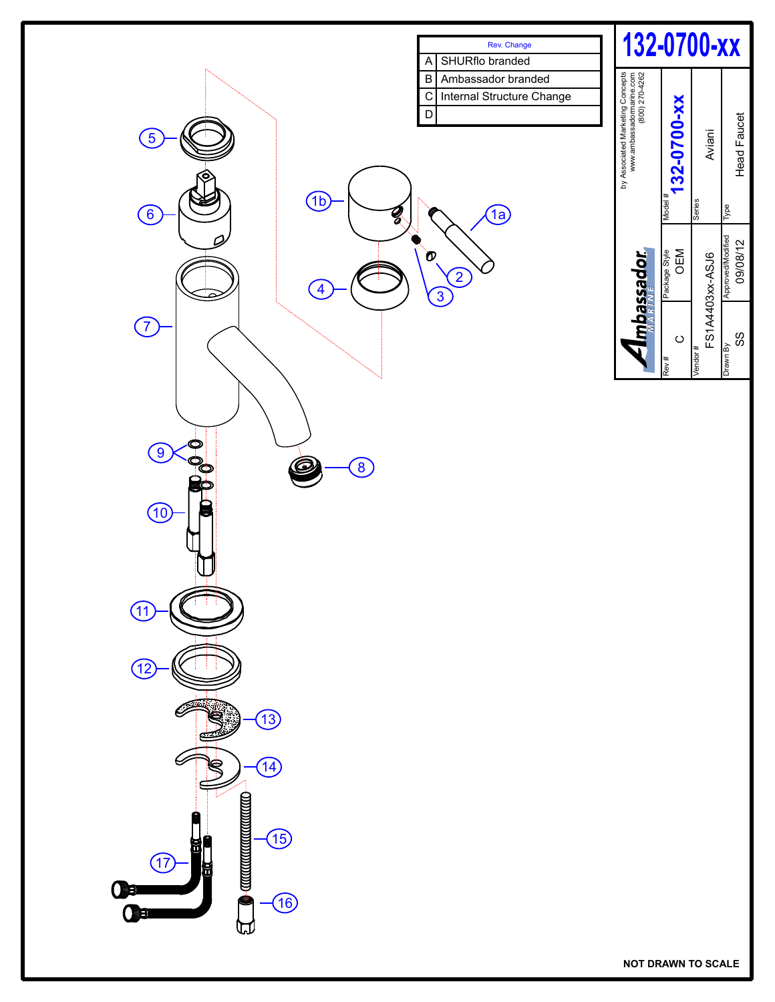